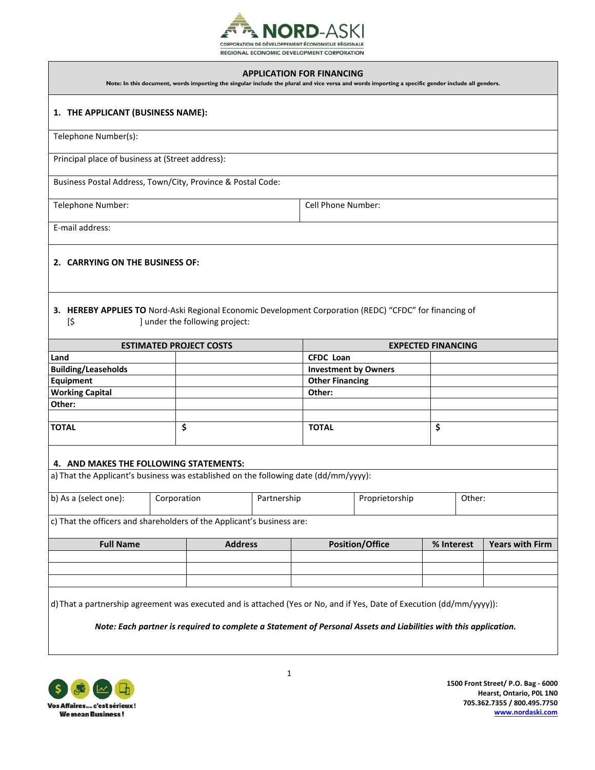

#### **APPLICATION FOR FINANCING**

**Note: In this document, words importing the singular include the plural and vice versa and words importing a specific gender include all genders.** 

### **1. THE APPLICANT (BUSINESS NAME):**

Telephone Number(s):

Principal place of business at (Street address):

Business Postal Address, Town/City, Province & Postal Code:

Telephone Number: Cell Phone Number:

E-mail address:

## **2. CARRYING ON THE BUSINESS OF:**

**3. HEREBY APPLIES TO** Nord-Aski Regional Economic Development Corporation (REDC) "CFDC" for financing of [\$ ] under the following project:

| <b>ESTIMATED PROJECT COSTS</b> |  | <b>EXPECTED FINANCING</b>   |  |  |
|--------------------------------|--|-----------------------------|--|--|
| Land                           |  | <b>CFDC Loan</b>            |  |  |
| <b>Building/Leaseholds</b>     |  | <b>Investment by Owners</b> |  |  |
| <b>Equipment</b>               |  | <b>Other Financing</b>      |  |  |
| <b>Working Capital</b>         |  | Other:                      |  |  |
| Other:                         |  |                             |  |  |
|                                |  |                             |  |  |
| <b>TOTAL</b>                   |  | <b>TOTAL</b>                |  |  |

### **4. AND MAKES THE FOLLOWING STATEMENTS:**

a) That the Applicant's business was established on the following date (dd/mm/yyyy):

| b) As a (select one):                              | Corporation              | Partnership | Proprietorship | Other: |
|----------------------------------------------------|--------------------------|-------------|----------------|--------|
| $\sim$ $\sim$ $\sim$ $\sim$ $\sim$<br>$\mathbf{a}$ | $\sim$ $\sim$<br>$\cdot$ |             |                |        |

c) That the officers and shareholders of the Applicant's business are:

| <b>Full Name</b> | <b>Address</b> | <b>Position/Office</b> | % Interest | <b>Years with Firm</b> |
|------------------|----------------|------------------------|------------|------------------------|
|                  |                |                        |            |                        |
|                  |                |                        |            |                        |
|                  |                |                        |            |                        |

d)That a partnership agreement was executed and is attached (Yes or No, and if Yes, Date of Execution (dd/mm/yyyy)):

*Note: Each partner is required to complete a Statement of Personal Assets and Liabilities with this application.*

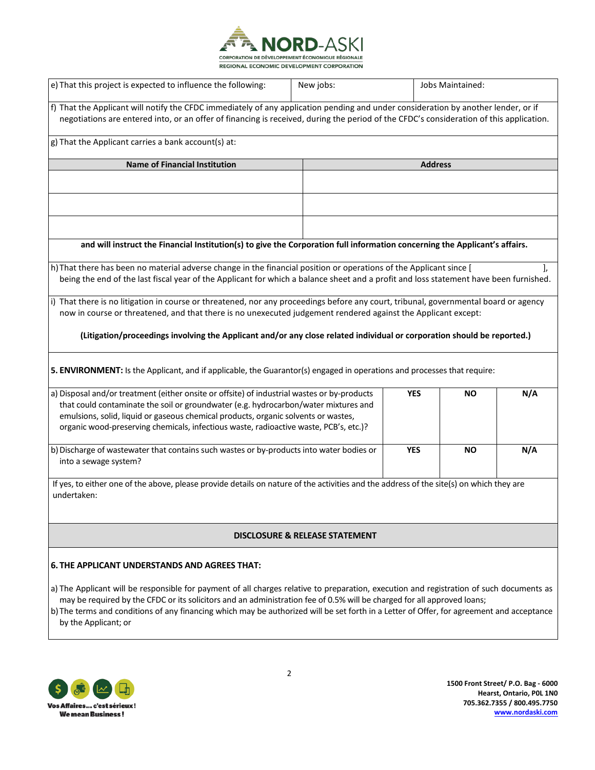

| e) That this project is expected to influence the following:                                                                                                                                                                                                                                                                                                                     | New jobs:                                 |                | Jobs Maintained: |     |
|----------------------------------------------------------------------------------------------------------------------------------------------------------------------------------------------------------------------------------------------------------------------------------------------------------------------------------------------------------------------------------|-------------------------------------------|----------------|------------------|-----|
| f) That the Applicant will notify the CFDC immediately of any application pending and under consideration by another lender, or if<br>negotiations are entered into, or an offer of financing is received, during the period of the CFDC's consideration of this application.                                                                                                    |                                           |                |                  |     |
| g) That the Applicant carries a bank account(s) at:                                                                                                                                                                                                                                                                                                                              |                                           |                |                  |     |
| <b>Name of Financial Institution</b>                                                                                                                                                                                                                                                                                                                                             |                                           | <b>Address</b> |                  |     |
|                                                                                                                                                                                                                                                                                                                                                                                  |                                           |                |                  |     |
|                                                                                                                                                                                                                                                                                                                                                                                  |                                           |                |                  |     |
|                                                                                                                                                                                                                                                                                                                                                                                  |                                           |                |                  |     |
| and will instruct the Financial Institution(s) to give the Corporation full information concerning the Applicant's affairs.                                                                                                                                                                                                                                                      |                                           |                |                  |     |
| h) That there has been no material adverse change in the financial position or operations of the Applicant since [<br>being the end of the last fiscal year of the Applicant for which a balance sheet and a profit and loss statement have been furnished.                                                                                                                      |                                           |                |                  | J,  |
| i) That there is no litigation in course or threatened, nor any proceedings before any court, tribunal, governmental board or agency<br>now in course or threatened, and that there is no unexecuted judgement rendered against the Applicant except:<br>(Litigation/proceedings involving the Applicant and/or any close related individual or corporation should be reported.) |                                           |                |                  |     |
| 5. ENVIRONMENT: Is the Applicant, and if applicable, the Guarantor(s) engaged in operations and processes that require:                                                                                                                                                                                                                                                          |                                           |                |                  |     |
| a) Disposal and/or treatment (either onsite or offsite) of industrial wastes or by-products<br>that could contaminate the soil or groundwater (e.g. hydrocarbon/water mixtures and<br>emulsions, solid, liquid or gaseous chemical products, organic solvents or wastes,<br>organic wood-preserving chemicals, infectious waste, radioactive waste, PCB's, etc.)?                |                                           | <b>YES</b>     | NO.              | N/A |
| b) Discharge of wastewater that contains such wastes or by-products into water bodies or<br>into a sewage system?                                                                                                                                                                                                                                                                |                                           | <b>YES</b>     | <b>NO</b>        | N/A |
| If yes, to either one of the above, please provide details on nature of the activities and the address of the site(s) on which they are<br>undertaken:                                                                                                                                                                                                                           |                                           |                |                  |     |
|                                                                                                                                                                                                                                                                                                                                                                                  | <b>DISCLOSURE &amp; RELEASE STATEMENT</b> |                |                  |     |

# **6. THE APPLICANT UNDERSTANDS AND AGREES THAT:**

- a) The Applicant will be responsible for payment of all charges relative to preparation, execution and registration of such documents as may be required by the CFDC or its solicitors and an administration fee of 0.5% will be charged for all approved loans;
- b) The terms and conditions of any financing which may be authorized will be set forth in a Letter of Offer, for agreement and acceptance by the Applicant; or



**1500 Front Street/ P.O. Bag - 6000 Hearst, Ontario, P0L 1N0 705.362.7355 / 800.495.7750 [www.nordaski.com](http://www.nordaski.com/)**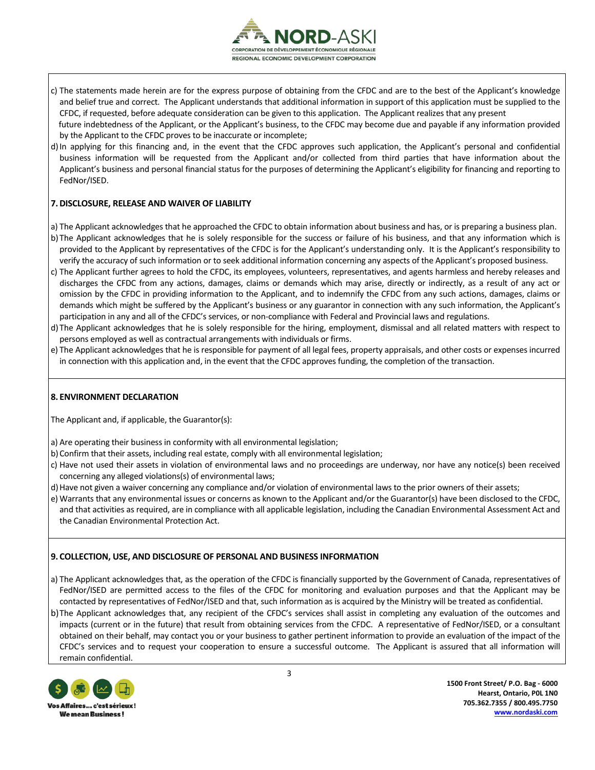

- c) The statements made herein are for the express purpose of obtaining from the CFDC and are to the best of the Applicant's knowledge and belief true and correct. The Applicant understands that additional information in support of this application must be supplied to the CFDC, if requested, before adequate consideration can be given to this application. The Applicant realizes that any present future indebtedness of the Applicant, or the Applicant's business, to the CFDC may become due and payable if any information provided by the Applicant to the CFDC proves to be inaccurate or incomplete;
- d)In applying for this financing and, in the event that the CFDC approves such application, the Applicant's personal and confidential business information will be requested from the Applicant and/or collected from third parties that have information about the Applicant's business and personal financial status for the purposes of determining the Applicant's eligibility for financing and reporting to FedNor/ISED.

## **7.DISCLOSURE, RELEASE AND WAIVER OF LIABILITY**

- a) The Applicant acknowledges that he approached the CFDC to obtain information about business and has, or is preparing a business plan.
- b) The Applicant acknowledges that he is solely responsible for the success or failure of his business, and that any information which is provided to the Applicant by representatives of the CFDC is for the Applicant's understanding only. It is the Applicant's responsibility to verify the accuracy of such information or to seek additional information concerning any aspects of the Applicant's proposed business.
- c) The Applicant further agrees to hold the CFDC, its employees, volunteers, representatives, and agents harmless and hereby releases and discharges the CFDC from any actions, damages, claims or demands which may arise, directly or indirectly, as a result of any act or omission by the CFDC in providing information to the Applicant, and to indemnify the CFDC from any such actions, damages, claims or demands which might be suffered by the Applicant's business or any guarantor in connection with any such information, the Applicant's participation in any and all of the CFDC's services, or non-compliance with Federal and Provincial laws and regulations.
- d) The Applicant acknowledges that he is solely responsible for the hiring, employment, dismissal and all related matters with respect to persons employed as well as contractual arrangements with individuals or firms.
- e) The Applicant acknowledges that he is responsible for payment of all legal fees, property appraisals, and other costs or expenses incurred in connection with this application and, in the event that the CFDC approves funding, the completion of the transaction.

## **8. ENVIRONMENT DECLARATION**

The Applicant and, if applicable, the Guarantor(s):

- a) Are operating their business in conformity with all environmental legislation;
- b)Confirm that their assets, including real estate, comply with all environmental legislation;
- c) Have not used their assets in violation of environmental laws and no proceedings are underway, nor have any notice(s) been received concerning any alleged violations(s) of environmental laws;
- d) Have not given a waiver concerning any compliance and/or violation of environmental laws to the prior owners of their assets;
- e) Warrants that any environmental issues or concerns as known to the Applicant and/or the Guarantor(s) have been disclosed to the CFDC, and that activities as required, are in compliance with all applicable legislation, including the Canadian Environmental Assessment Act and the Canadian Environmental Protection Act.

## **9. COLLECTION, USE, AND DISCLOSURE OF PERSONAL AND BUSINESS INFORMATION**

- a) The Applicant acknowledges that, as the operation of the CFDC is financially supported by the Government of Canada, representatives of FedNor/ISED are permitted access to the files of the CFDC for monitoring and evaluation purposes and that the Applicant may be contacted by representatives of FedNor/ISED and that, such information as is acquired by the Ministry will be treated as confidential.
- b)The Applicant acknowledges that, any recipient of the CFDC's services shall assist in completing any evaluation of the outcomes and impacts (current or in the future) that result from obtaining services from the CFDC. A representative of FedNor/ISED, or a consultant obtained on their behalf, may contact you or your business to gather pertinent information to provide an evaluation of the impact of the CFDC's services and to request your cooperation to ensure a successful outcome. The Applicant is assured that all information will remain confidential.